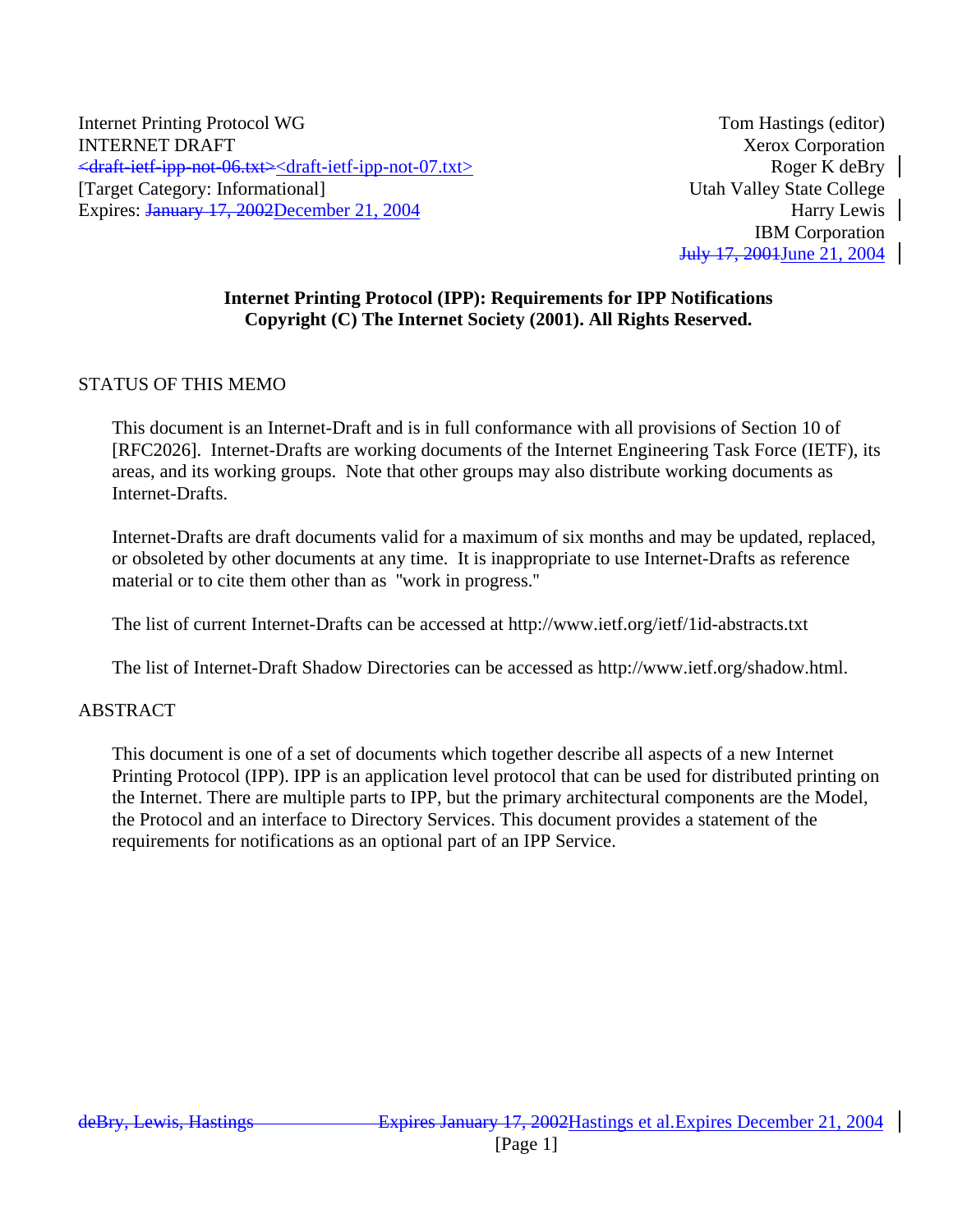Internet Printing Protocol WG Tom Hastings (editor) **INTERNET DRAFT** Xerox Corporation <draft-ietf-ipp-not-06.txt><draft-ietf-ipp-not-07.txt> Roger K deBry [Target Category: Informational] Utah Valley State College Expires: January 17, 2002December 21, 2004 Harry Lewis

IBM Corporation July 17, 2001June 21, 2004

# **Internet Printing Protocol (IPP): Requirements for IPP Notifications Copyright (C) The Internet Society (2001). All Rights Reserved.**

# STATUS OF THIS MEMO

This document is an Internet-Draft and is in full conformance with all provisions of Section 10 of [RFC2026]. Internet-Drafts are working documents of the Internet Engineering Task Force (IETF), its areas, and its working groups. Note that other groups may also distribute working documents as Internet-Drafts.

Internet-Drafts are draft documents valid for a maximum of six months and may be updated, replaced, or obsoleted by other documents at any time. It is inappropriate to use Internet-Drafts as reference material or to cite them other than as ''work in progress.''

The list of current Internet-Drafts can be accessed at http://www.ietf.org/ietf/1id-abstracts.txt

The list of Internet-Draft Shadow Directories can be accessed as http://www.ietf.org/shadow.html.

# ABSTRACT

This document is one of a set of documents which together describe all aspects of a new Internet Printing Protocol (IPP). IPP is an application level protocol that can be used for distributed printing on the Internet. There are multiple parts to IPP, but the primary architectural components are the Model, the Protocol and an interface to Directory Services. This document provides a statement of the requirements for notifications as an optional part of an IPP Service.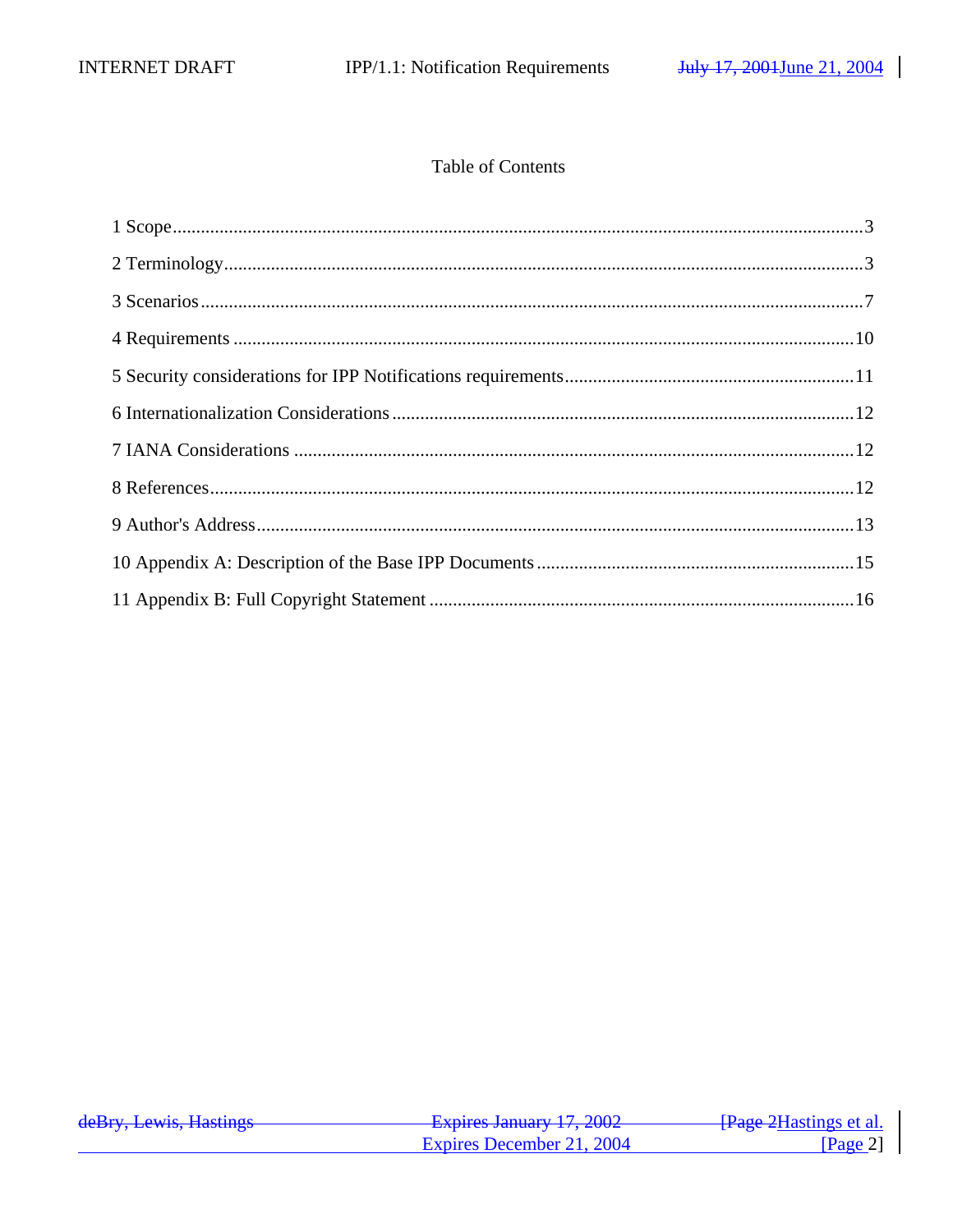# Table of Contents

| deBry, Lewis, Hastings | Evnires January 17 2002<br><del>12 haphes Jamuary 17, 2002</del> | <del>[Page 2</del> Hastings et al. |
|------------------------|------------------------------------------------------------------|------------------------------------|
|                        | Expires December 21, 2004                                        | $\sqrt{2}$ Page 21                 |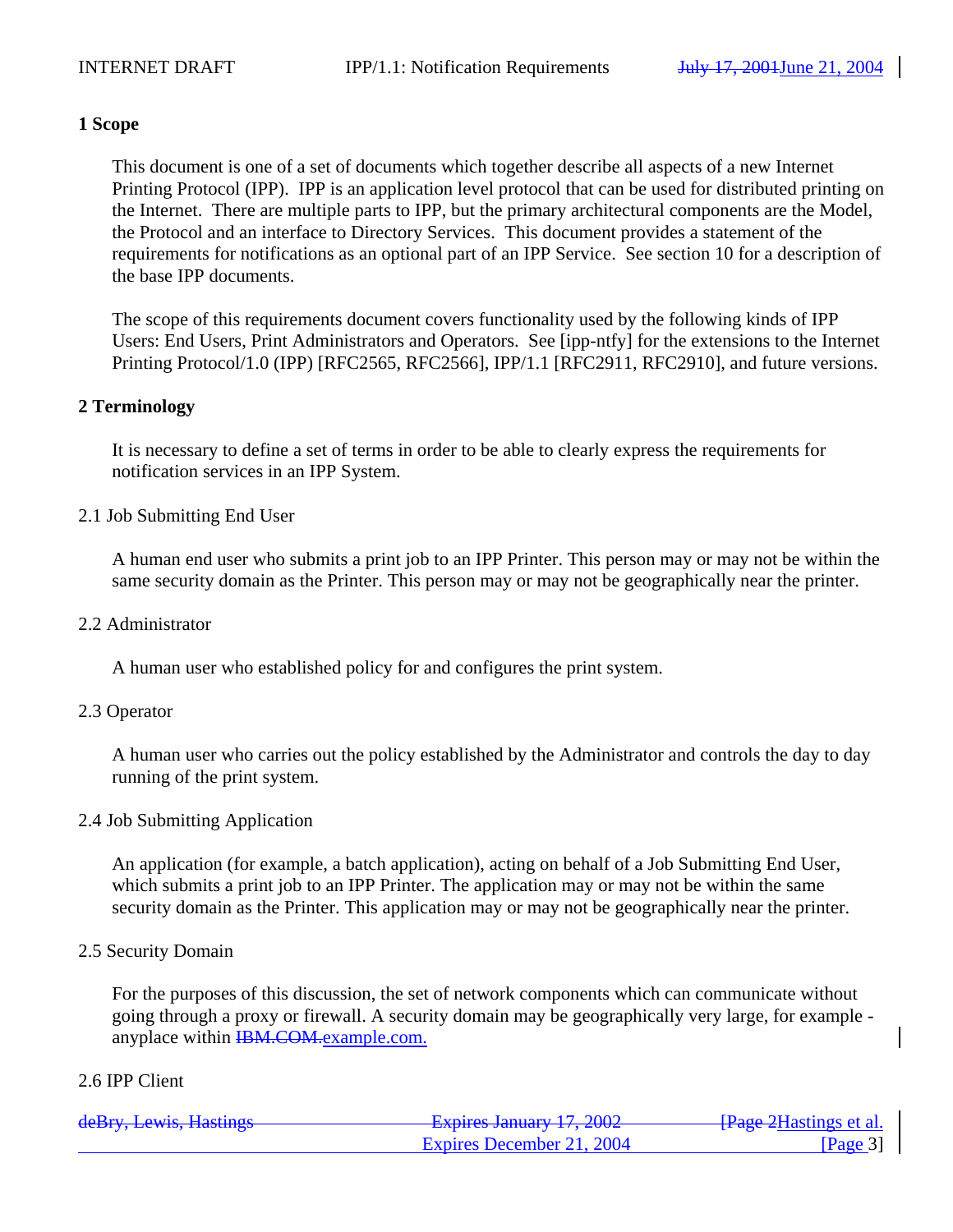### **1 Scope**

This document is one of a set of documents which together describe all aspects of a new Internet Printing Protocol (IPP). IPP is an application level protocol that can be used for distributed printing on the Internet. There are multiple parts to IPP, but the primary architectural components are the Model, the Protocol and an interface to Directory Services. This document provides a statement of the requirements for notifications as an optional part of an IPP Service. See section 10 for a description of the base IPP documents.

The scope of this requirements document covers functionality used by the following kinds of IPP Users: End Users, Print Administrators and Operators. See [ipp-ntfy] for the extensions to the Internet Printing Protocol/1.0 (IPP) [RFC2565, RFC2566], IPP/1.1 [RFC2911, RFC2910], and future versions.

### **2 Terminology**

It is necessary to define a set of terms in order to be able to clearly express the requirements for notification services in an IPP System.

### 2.1 Job Submitting End User

A human end user who submits a print job to an IPP Printer. This person may or may not be within the same security domain as the Printer. This person may or may not be geographically near the printer.

#### 2.2 Administrator

A human user who established policy for and configures the print system.

#### 2.3 Operator

A human user who carries out the policy established by the Administrator and controls the day to day running of the print system.

#### 2.4 Job Submitting Application

An application (for example, a batch application), acting on behalf of a Job Submitting End User, which submits a print job to an IPP Printer. The application may or may not be within the same security domain as the Printer. This application may or may not be geographically near the printer.

### 2.5 Security Domain

For the purposes of this discussion, the set of network components which can communicate without going through a proxy or firewall. A security domain may be geographically very large, for example anyplace within HBM.COM.example.com.

### 2.6 IPP Client

| deRry Lawis Hastings<br><del>uchty, Lewis, Hastings</del> | Evniras January 17 2002<br>$T^2$ $\frac{1}{2}$ $\frac{1}{2}$ $\frac{1}{2}$ $\frac{1}{2}$ $\frac{1}{2}$ $\frac{1}{2}$ $\frac{1}{2}$ $\frac{1}{2}$ $\frac{1}{2}$ $\frac{1}{2}$ $\frac{1}{2}$ $\frac{1}{2}$ $\frac{1}{2}$ $\frac{1}{2}$ $\frac{1}{2}$ $\frac{1}{2}$ $\frac{1}{2}$ $\frac{1}{2}$ $\frac{1}{2}$ $\frac{1}{2}$ $\frac{1}{2}$ $\frac{1$ | <del>[Page 2</del> Hastings et al. |
|-----------------------------------------------------------|--------------------------------------------------------------------------------------------------------------------------------------------------------------------------------------------------------------------------------------------------------------------------------------------------------------------------------------------------|------------------------------------|
|                                                           | Expires December 21, 2004                                                                                                                                                                                                                                                                                                                        | $\lceil \text{Page } 3 \rceil$     |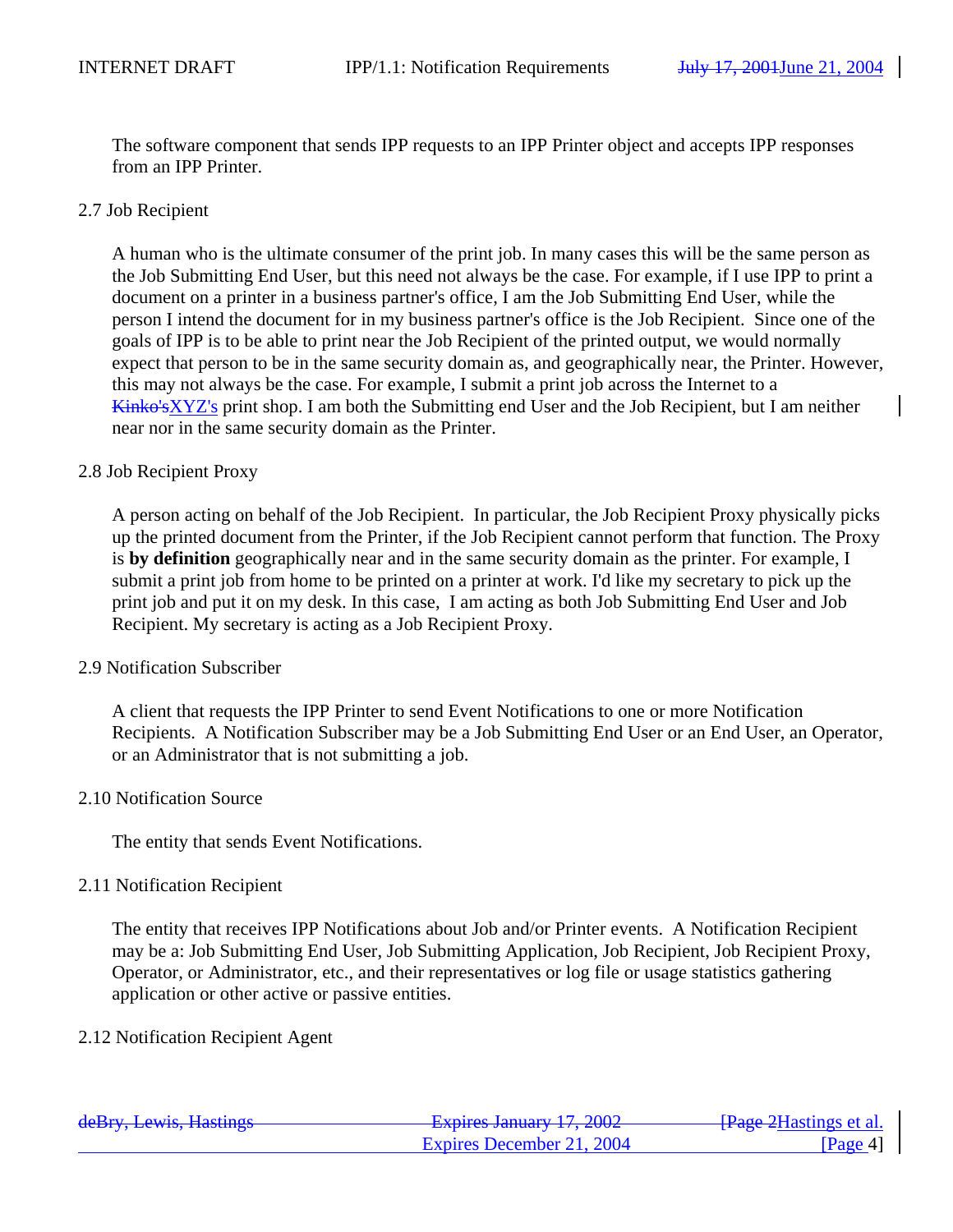The software component that sends IPP requests to an IPP Printer object and accepts IPP responses from an IPP Printer.

### 2.7 Job Recipient

A human who is the ultimate consumer of the print job. In many cases this will be the same person as the Job Submitting End User, but this need not always be the case. For example, if I use IPP to print a document on a printer in a business partner's office, I am the Job Submitting End User, while the person I intend the document for in my business partner's office is the Job Recipient. Since one of the goals of IPP is to be able to print near the Job Recipient of the printed output, we would normally expect that person to be in the same security domain as, and geographically near, the Printer. However, this may not always be the case. For example, I submit a print job across the Internet to a Kinko'sXYZ's print shop. I am both the Submitting end User and the Job Recipient, but I am neither near nor in the same security domain as the Printer.

### 2.8 Job Recipient Proxy

A person acting on behalf of the Job Recipient. In particular, the Job Recipient Proxy physically picks up the printed document from the Printer, if the Job Recipient cannot perform that function. The Proxy is **by definition** geographically near and in the same security domain as the printer. For example, I submit a print job from home to be printed on a printer at work. I'd like my secretary to pick up the print job and put it on my desk. In this case, I am acting as both Job Submitting End User and Job Recipient. My secretary is acting as a Job Recipient Proxy.

### 2.9 Notification Subscriber

A client that requests the IPP Printer to send Event Notifications to one or more Notification Recipients. A Notification Subscriber may be a Job Submitting End User or an End User, an Operator, or an Administrator that is not submitting a job.

### 2.10 Notification Source

The entity that sends Event Notifications.

### 2.11 Notification Recipient

The entity that receives IPP Notifications about Job and/or Printer events. A Notification Recipient may be a: Job Submitting End User, Job Submitting Application, Job Recipient, Job Recipient Proxy, Operator, or Administrator, etc., and their representatives or log file or usage statistics gathering application or other active or passive entities.

### 2.12 Notification Recipient Agent

| deBry, Lewis, Hastings | Evnirac January 17 2002<br>$\frac{1}{4}$ $\frac{1}{4}$ $\frac{1}{4}$ $\frac{1}{4}$ $\frac{1}{4}$ $\frac{1}{4}$ $\frac{1}{4}$ $\frac{1}{4}$ $\frac{1}{4}$ $\frac{1}{4}$ $\frac{1}{4}$ $\frac{1}{4}$ $\frac{1}{4}$ $\frac{1}{4}$ $\frac{1}{4}$ $\frac{1}{4}$ $\frac{1}{4}$ $\frac{1}{4}$ $\frac{1}{4}$ $\frac{1}{4}$ $\frac{1}{4}$ $\frac{1}{4}$ | <del>[Page 2</del> Hastings et al.] |
|------------------------|------------------------------------------------------------------------------------------------------------------------------------------------------------------------------------------------------------------------------------------------------------------------------------------------------------------------------------------------|-------------------------------------|
|                        | Expires December 21, 2004                                                                                                                                                                                                                                                                                                                      | $\left  \text{Page } 4 \right $     |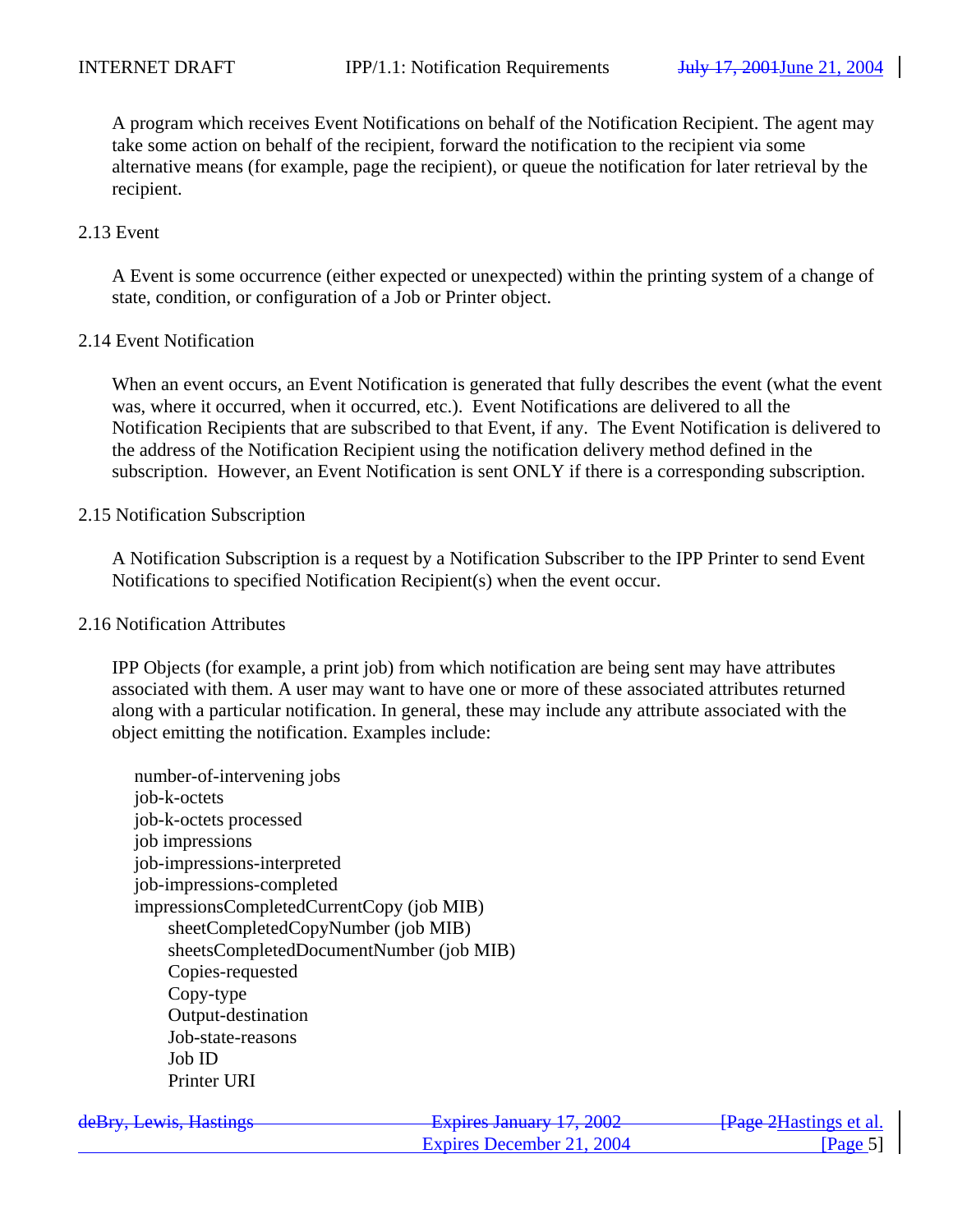A program which receives Event Notifications on behalf of the Notification Recipient. The agent may take some action on behalf of the recipient, forward the notification to the recipient via some alternative means (for example, page the recipient), or queue the notification for later retrieval by the recipient.

### 2.13 Event

A Event is some occurrence (either expected or unexpected) within the printing system of a change of state, condition, or configuration of a Job or Printer object.

#### 2.14 Event Notification

When an event occurs, an Event Notification is generated that fully describes the event (what the event was, where it occurred, when it occurred, etc.). Event Notifications are delivered to all the Notification Recipients that are subscribed to that Event, if any. The Event Notification is delivered to the address of the Notification Recipient using the notification delivery method defined in the subscription. However, an Event Notification is sent ONLY if there is a corresponding subscription.

#### 2.15 Notification Subscription

A Notification Subscription is a request by a Notification Subscriber to the IPP Printer to send Event Notifications to specified Notification Recipient(s) when the event occur.

#### 2.16 Notification Attributes

IPP Objects (for example, a print job) from which notification are being sent may have attributes associated with them. A user may want to have one or more of these associated attributes returned along with a particular notification. In general, these may include any attribute associated with the object emitting the notification. Examples include:

number-of-intervening jobs job-k-octets job-k-octets processed job impressions job-impressions-interpreted job-impressions-completed impressionsCompletedCurrentCopy (job MIB) sheetCompletedCopyNumber (job MIB) sheetsCompletedDocumentNumber (job MIB) Copies-requested Copy-type Output-destination Job-state-reasons Job ID Printer URI

| deBry, Lewis, Hastings | Evnires January 17 2002<br><del>12 haphes Jamuary 17, 2002</del> | - <del>[Page 2</del> Hastings et al. |
|------------------------|------------------------------------------------------------------|--------------------------------------|
|                        | Expires December 21, 2004                                        | $\left  \text{Page } 5 \right $      |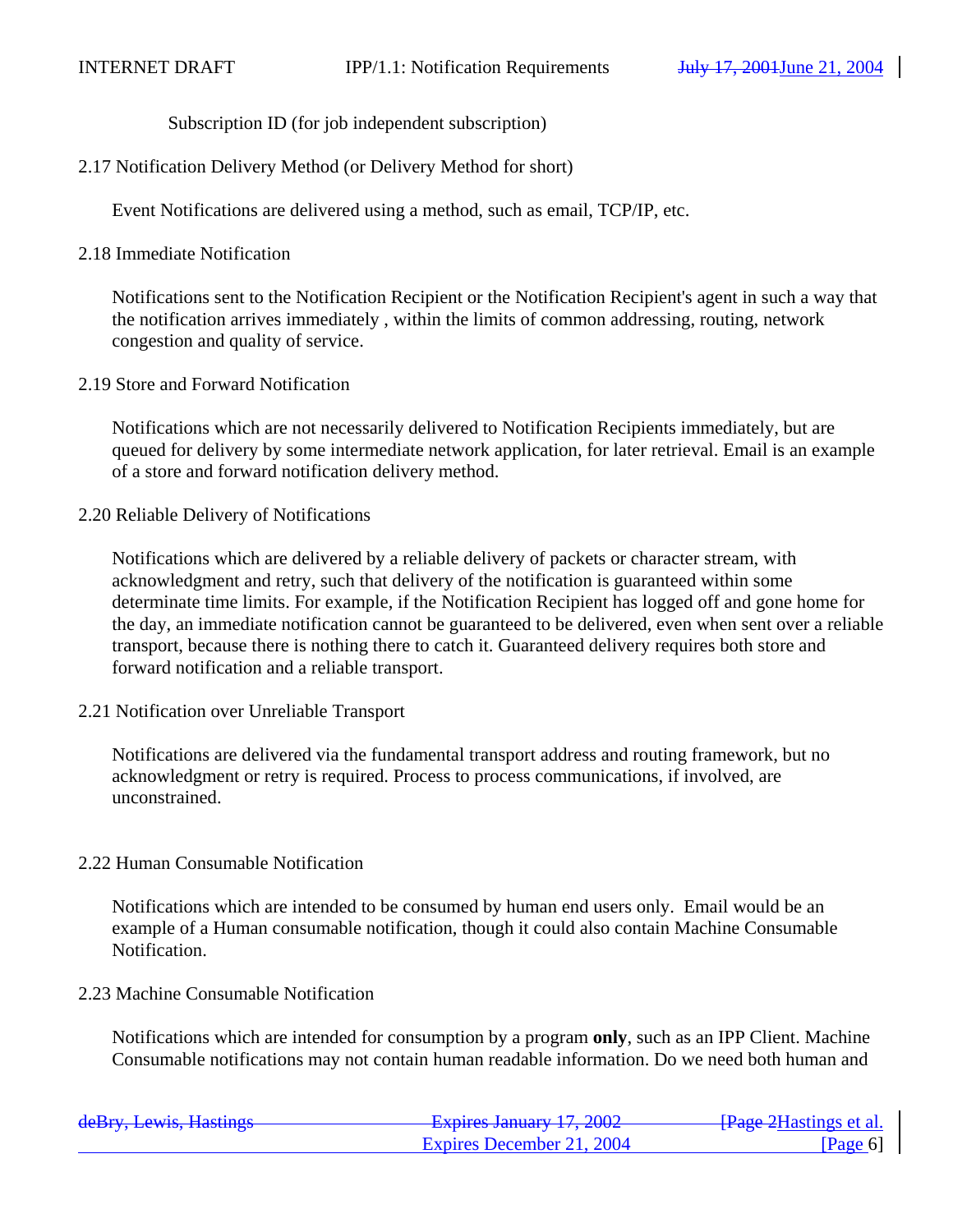Subscription ID (for job independent subscription)

2.17 Notification Delivery Method (or Delivery Method for short)

Event Notifications are delivered using a method, such as email, TCP/IP, etc.

2.18 Immediate Notification

Notifications sent to the Notification Recipient or the Notification Recipient's agent in such a way that the notification arrives immediately , within the limits of common addressing, routing, network congestion and quality of service.

2.19 Store and Forward Notification

Notifications which are not necessarily delivered to Notification Recipients immediately, but are queued for delivery by some intermediate network application, for later retrieval. Email is an example of a store and forward notification delivery method.

2.20 Reliable Delivery of Notifications

Notifications which are delivered by a reliable delivery of packets or character stream, with acknowledgment and retry, such that delivery of the notification is guaranteed within some determinate time limits. For example, if the Notification Recipient has logged off and gone home for the day, an immediate notification cannot be guaranteed to be delivered, even when sent over a reliable transport, because there is nothing there to catch it. Guaranteed delivery requires both store and forward notification and a reliable transport.

2.21 Notification over Unreliable Transport

Notifications are delivered via the fundamental transport address and routing framework, but no acknowledgment or retry is required. Process to process communications, if involved, are unconstrained.

### 2.22 Human Consumable Notification

Notifications which are intended to be consumed by human end users only. Email would be an example of a Human consumable notification, though it could also contain Machine Consumable Notification.

2.23 Machine Consumable Notification

Notifications which are intended for consumption by a program **only**, such as an IPP Client. Machine Consumable notifications may not contain human readable information. Do we need both human and

| deBry, Lewis, Hastings | Evniras January 17 2002<br><del>12 hard bandary 17, 2002</del> | <del>[Page 2</del> Hastings et al.    |
|------------------------|----------------------------------------------------------------|---------------------------------------|
|                        | Expires December 21, 2004                                      | $\lceil \text{Page } 6 \rceil \rceil$ |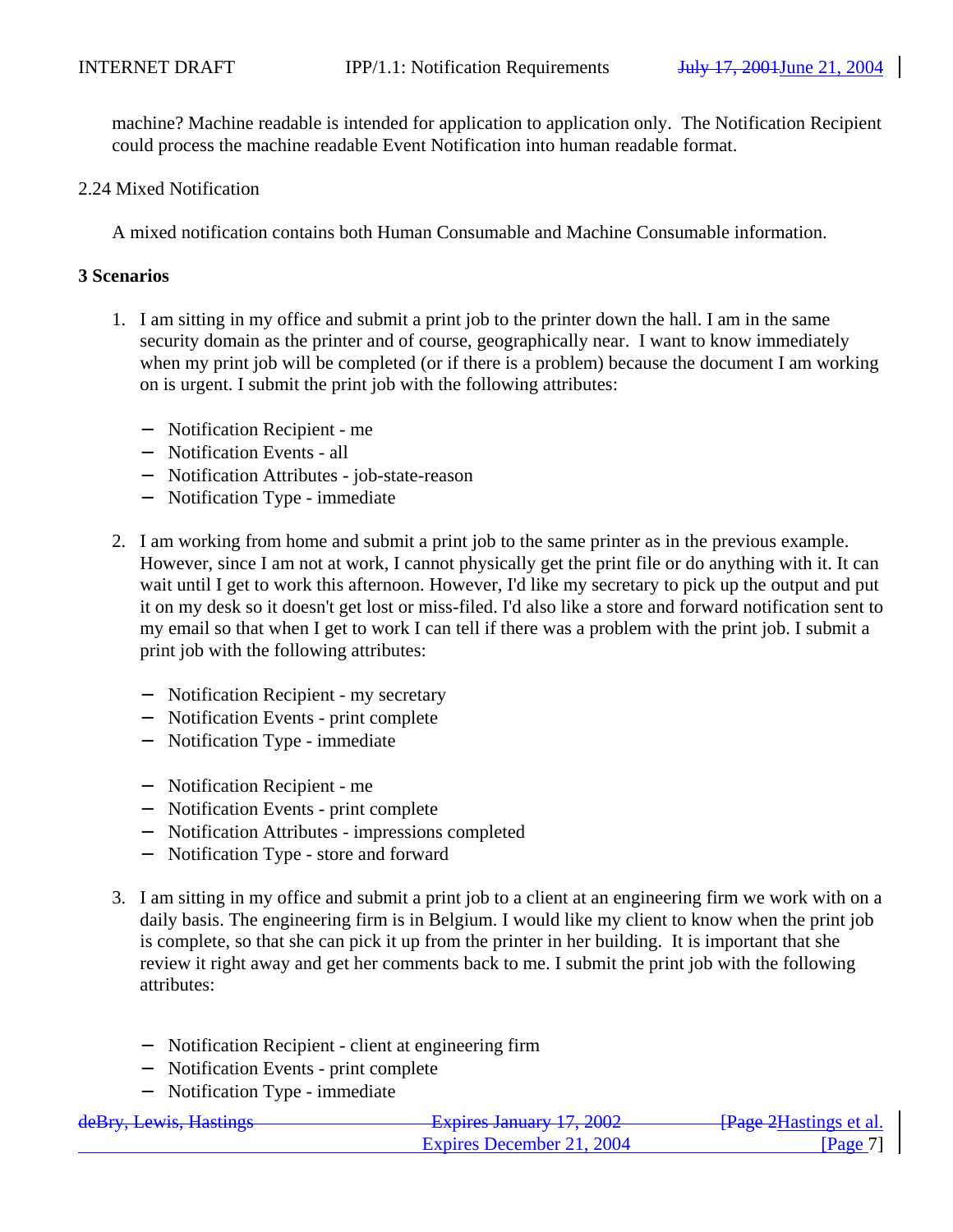machine? Machine readable is intended for application to application only. The Notification Recipient could process the machine readable Event Notification into human readable format.

2.24 Mixed Notification

A mixed notification contains both Human Consumable and Machine Consumable information.

### **3 Scenarios**

- 1. I am sitting in my office and submit a print job to the printer down the hall. I am in the same security domain as the printer and of course, geographically near. I want to know immediately when my print job will be completed (or if there is a problem) because the document I am working on is urgent. I submit the print job with the following attributes:
	- − Notification Recipient me
	- − Notification Events all
	- − Notification Attributes job-state-reason
	- − Notification Type immediate
- 2. I am working from home and submit a print job to the same printer as in the previous example. However, since I am not at work, I cannot physically get the print file or do anything with it. It can wait until I get to work this afternoon. However, I'd like my secretary to pick up the output and put it on my desk so it doesn't get lost or miss-filed. I'd also like a store and forward notification sent to my email so that when I get to work I can tell if there was a problem with the print job. I submit a print job with the following attributes:
	- − Notification Recipient my secretary
	- − Notification Events print complete
	- − Notification Type immediate
	- − Notification Recipient me
	- − Notification Events print complete
	- − Notification Attributes impressions completed
	- − Notification Type store and forward
- 3. I am sitting in my office and submit a print job to a client at an engineering firm we work with on a daily basis. The engineering firm is in Belgium. I would like my client to know when the print job is complete, so that she can pick it up from the printer in her building. It is important that she review it right away and get her comments back to me. I submit the print job with the following attributes:
	- − Notification Recipient client at engineering firm
	- − Notification Events print complete
	- − Notification Type immediate

| deBry, Lewis, Hastings | <b>Expires January 17, 2002</b> | <del>[Page 2</del> Hastings et al.] |
|------------------------|---------------------------------|-------------------------------------|
|                        | Expires December 21, 2004       | Page 7                              |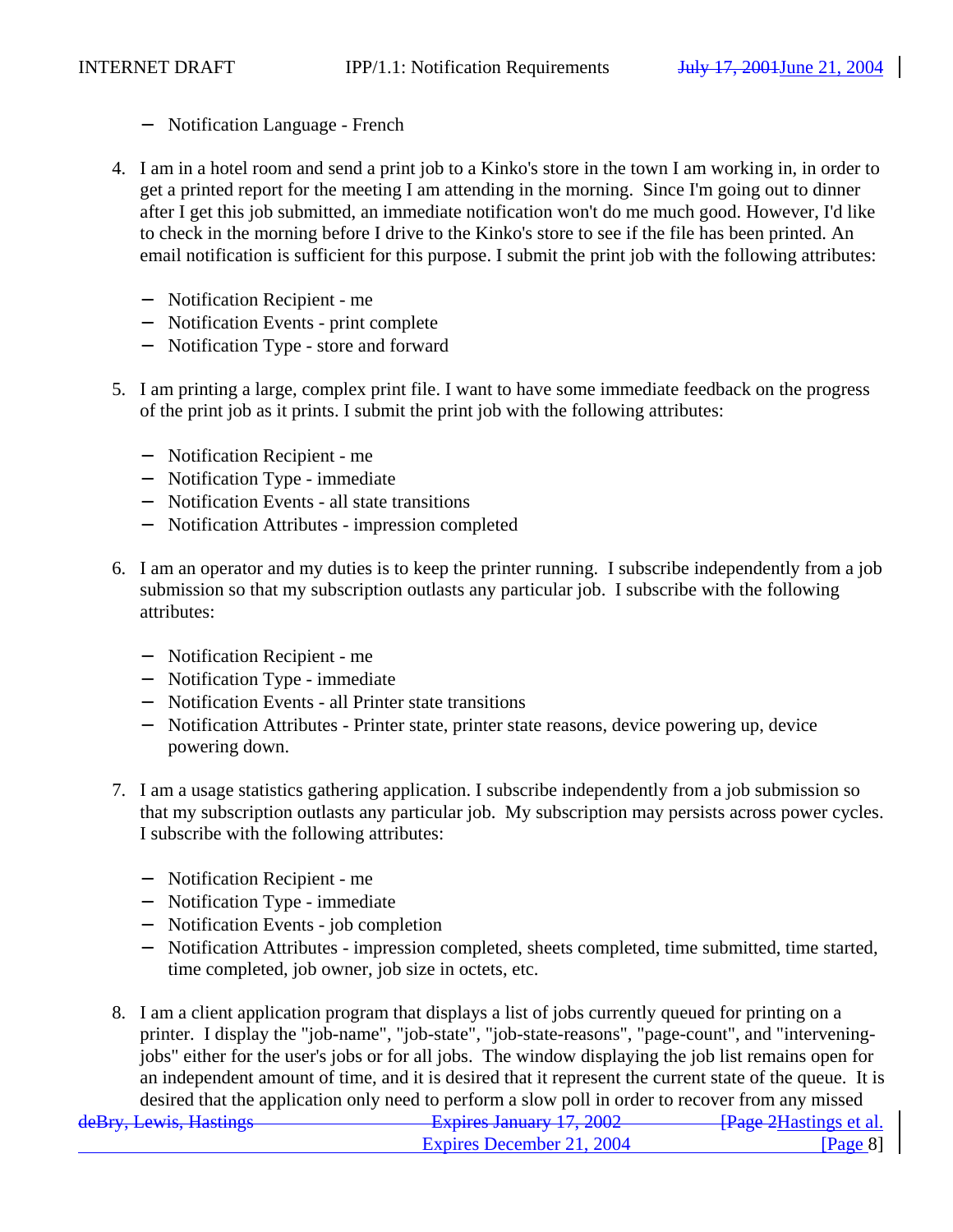- − Notification Language French
- 4. I am in a hotel room and send a print job to a Kinko's store in the town I am working in, in order to get a printed report for the meeting I am attending in the morning. Since I'm going out to dinner after I get this job submitted, an immediate notification won't do me much good. However, I'd like to check in the morning before I drive to the Kinko's store to see if the file has been printed. An email notification is sufficient for this purpose. I submit the print job with the following attributes:
	- − Notification Recipient me
	- − Notification Events print complete
	- − Notification Type store and forward
- 5. I am printing a large, complex print file. I want to have some immediate feedback on the progress of the print job as it prints. I submit the print job with the following attributes:
	- − Notification Recipient me
	- − Notification Type immediate
	- − Notification Events all state transitions
	- − Notification Attributes impression completed
- 6. I am an operator and my duties is to keep the printer running. I subscribe independently from a job submission so that my subscription outlasts any particular job. I subscribe with the following attributes:
	- − Notification Recipient me
	- − Notification Type immediate
	- − Notification Events all Printer state transitions
	- − Notification Attributes Printer state, printer state reasons, device powering up, device powering down.
- 7. I am a usage statistics gathering application. I subscribe independently from a job submission so that my subscription outlasts any particular job. My subscription may persists across power cycles. I subscribe with the following attributes:
	- − Notification Recipient me
	- − Notification Type immediate
	- − Notification Events job completion
	- − Notification Attributes impression completed, sheets completed, time submitted, time started, time completed, job owner, job size in octets, etc.
- deBry, Lewis, Hastings **Expires January 17, 2002** [Page 2Hastings et al. 8. I am a client application program that displays a list of jobs currently queued for printing on a printer. I display the "job-name", "job-state", "job-state-reasons", "page-count", and "interveningjobs" either for the user's jobs or for all jobs. The window displaying the job list remains open for an independent amount of time, and it is desired that it represent the current state of the queue. It is desired that the application only need to perform a slow poll in order to recover from any missed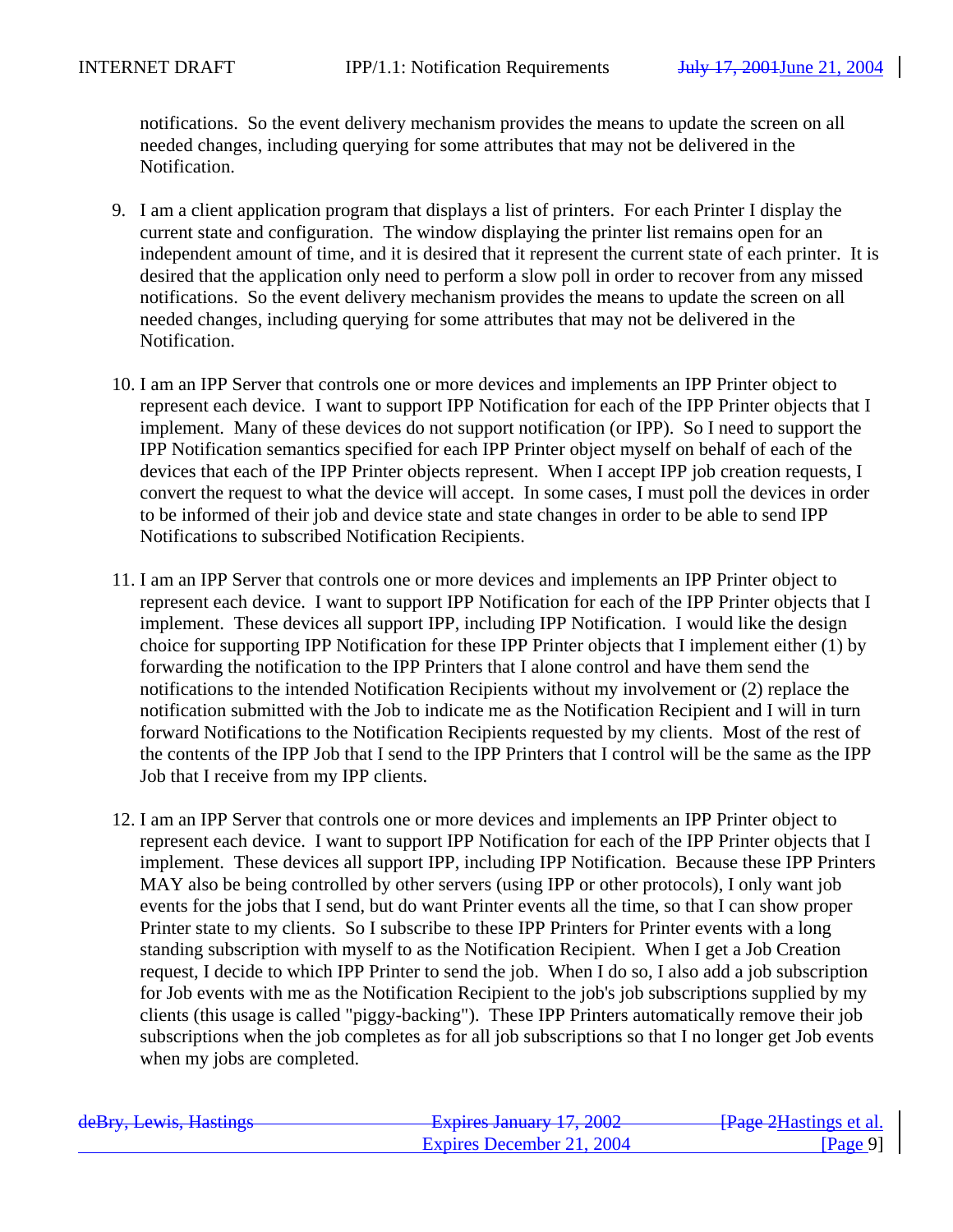notifications. So the event delivery mechanism provides the means to update the screen on all needed changes, including querying for some attributes that may not be delivered in the Notification.

- 9. I am a client application program that displays a list of printers. For each Printer I display the current state and configuration. The window displaying the printer list remains open for an independent amount of time, and it is desired that it represent the current state of each printer. It is desired that the application only need to perform a slow poll in order to recover from any missed notifications. So the event delivery mechanism provides the means to update the screen on all needed changes, including querying for some attributes that may not be delivered in the Notification.
- 10. I am an IPP Server that controls one or more devices and implements an IPP Printer object to represent each device. I want to support IPP Notification for each of the IPP Printer objects that I implement. Many of these devices do not support notification (or IPP). So I need to support the IPP Notification semantics specified for each IPP Printer object myself on behalf of each of the devices that each of the IPP Printer objects represent. When I accept IPP job creation requests, I convert the request to what the device will accept. In some cases, I must poll the devices in order to be informed of their job and device state and state changes in order to be able to send IPP Notifications to subscribed Notification Recipients.
- 11. I am an IPP Server that controls one or more devices and implements an IPP Printer object to represent each device. I want to support IPP Notification for each of the IPP Printer objects that I implement. These devices all support IPP, including IPP Notification. I would like the design choice for supporting IPP Notification for these IPP Printer objects that I implement either (1) by forwarding the notification to the IPP Printers that I alone control and have them send the notifications to the intended Notification Recipients without my involvement or (2) replace the notification submitted with the Job to indicate me as the Notification Recipient and I will in turn forward Notifications to the Notification Recipients requested by my clients. Most of the rest of the contents of the IPP Job that I send to the IPP Printers that I control will be the same as the IPP Job that I receive from my IPP clients.
- 12. I am an IPP Server that controls one or more devices and implements an IPP Printer object to represent each device. I want to support IPP Notification for each of the IPP Printer objects that I implement. These devices all support IPP, including IPP Notification. Because these IPP Printers MAY also be being controlled by other servers (using IPP or other protocols), I only want job events for the jobs that I send, but do want Printer events all the time, so that I can show proper Printer state to my clients. So I subscribe to these IPP Printers for Printer events with a long standing subscription with myself to as the Notification Recipient. When I get a Job Creation request, I decide to which IPP Printer to send the job. When I do so, I also add a job subscription for Job events with me as the Notification Recipient to the job's job subscriptions supplied by my clients (this usage is called "piggy-backing"). These IPP Printers automatically remove their job subscriptions when the job completes as for all job subscriptions so that I no longer get Job events when my jobs are completed.

| deBry, Lewis, Hastings | Evnires January 17 2002<br><del>12 haras sanuary 17, 2002</del> | - <del>[Page 2</del> Hastings et al. |
|------------------------|-----------------------------------------------------------------|--------------------------------------|
|                        | Expires December 21, 2004                                       | $\left  \text{Page } 9 \right $      |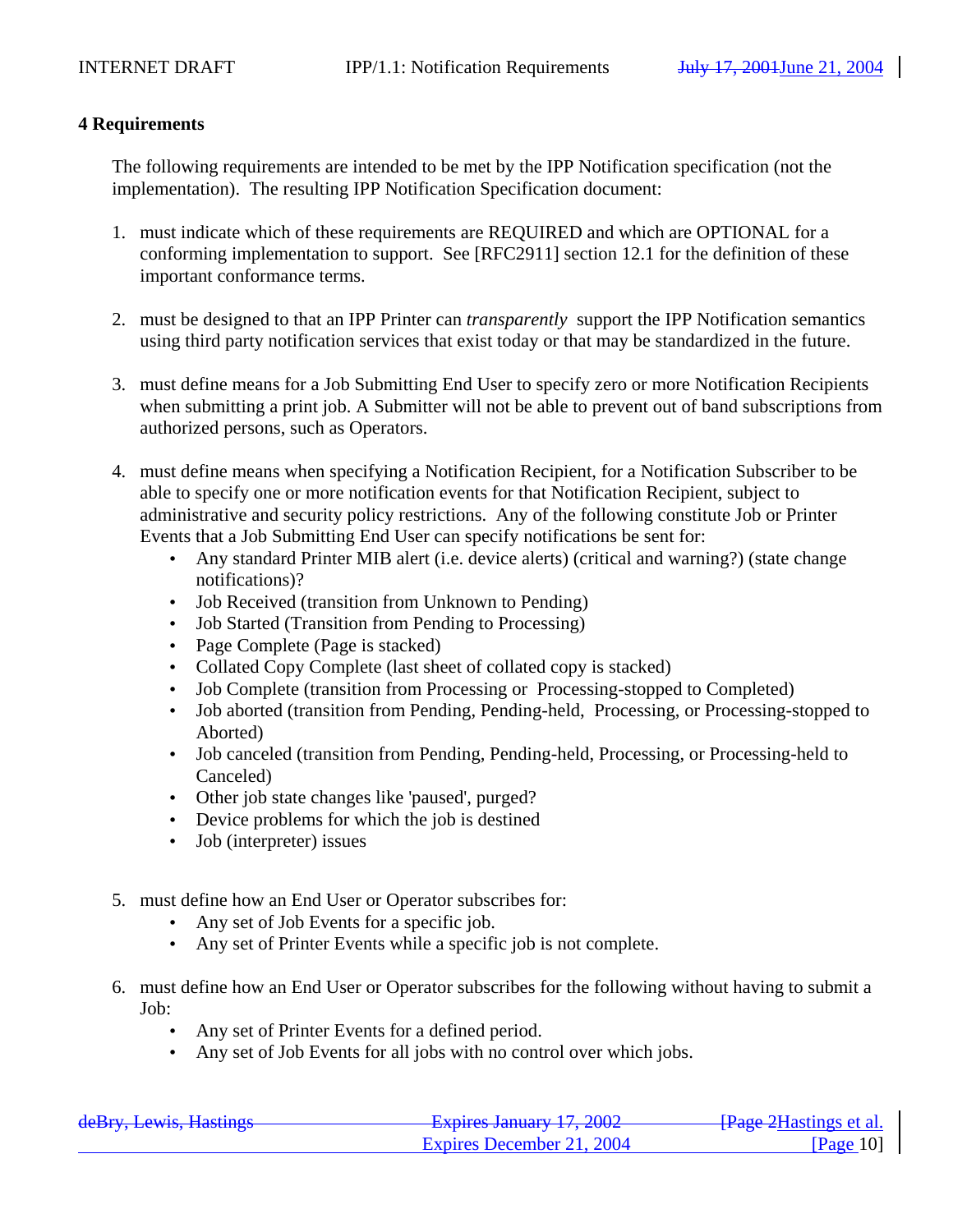# **4 Requirements**

The following requirements are intended to be met by the IPP Notification specification (not the implementation). The resulting IPP Notification Specification document:

- 1. must indicate which of these requirements are REQUIRED and which are OPTIONAL for a conforming implementation to support. See [RFC2911] section 12.1 for the definition of these important conformance terms.
- 2. must be designed to that an IPP Printer can *transparently* support the IPP Notification semantics using third party notification services that exist today or that may be standardized in the future.
- 3. must define means for a Job Submitting End User to specify zero or more Notification Recipients when submitting a print job. A Submitter will not be able to prevent out of band subscriptions from authorized persons, such as Operators.
- 4. must define means when specifying a Notification Recipient, for a Notification Subscriber to be able to specify one or more notification events for that Notification Recipient, subject to administrative and security policy restrictions. Any of the following constitute Job or Printer Events that a Job Submitting End User can specify notifications be sent for:
	- Any standard Printer MIB alert (i.e. device alerts) (critical and warning?) (state change notifications)?
	- Job Received (transition from Unknown to Pending)
	- Job Started (Transition from Pending to Processing)
	- Page Complete (Page is stacked)
	- Collated Copy Complete (last sheet of collated copy is stacked)
	- Job Complete (transition from Processing or Processing-stopped to Completed)
	- Job aborted (transition from Pending, Pending-held, Processing, or Processing-stopped to Aborted)
	- Job canceled (transition from Pending, Pending-held, Processing, or Processing-held to Canceled)
	- Other job state changes like 'paused', purged?
	- Device problems for which the job is destined
	- Job (interpreter) issues
- 5. must define how an End User or Operator subscribes for:
	- Any set of Job Events for a specific job.
	- Any set of Printer Events while a specific job is not complete.
- 6. must define how an End User or Operator subscribes for the following without having to submit a Job:
	- Any set of Printer Events for a defined period.
	- Any set of Job Events for all jobs with no control over which jobs.

| deRry Lawis Hastings                | Evniras January 17 2002   | <del>[Page 2</del> Hastings et al. |
|-------------------------------------|---------------------------|------------------------------------|
| $\frac{\text{dCDry}}{\text{LCDry}}$ | Expires December 21, 2004 | $\lceil \text{Page } 10 \rceil$    |
|                                     |                           |                                    |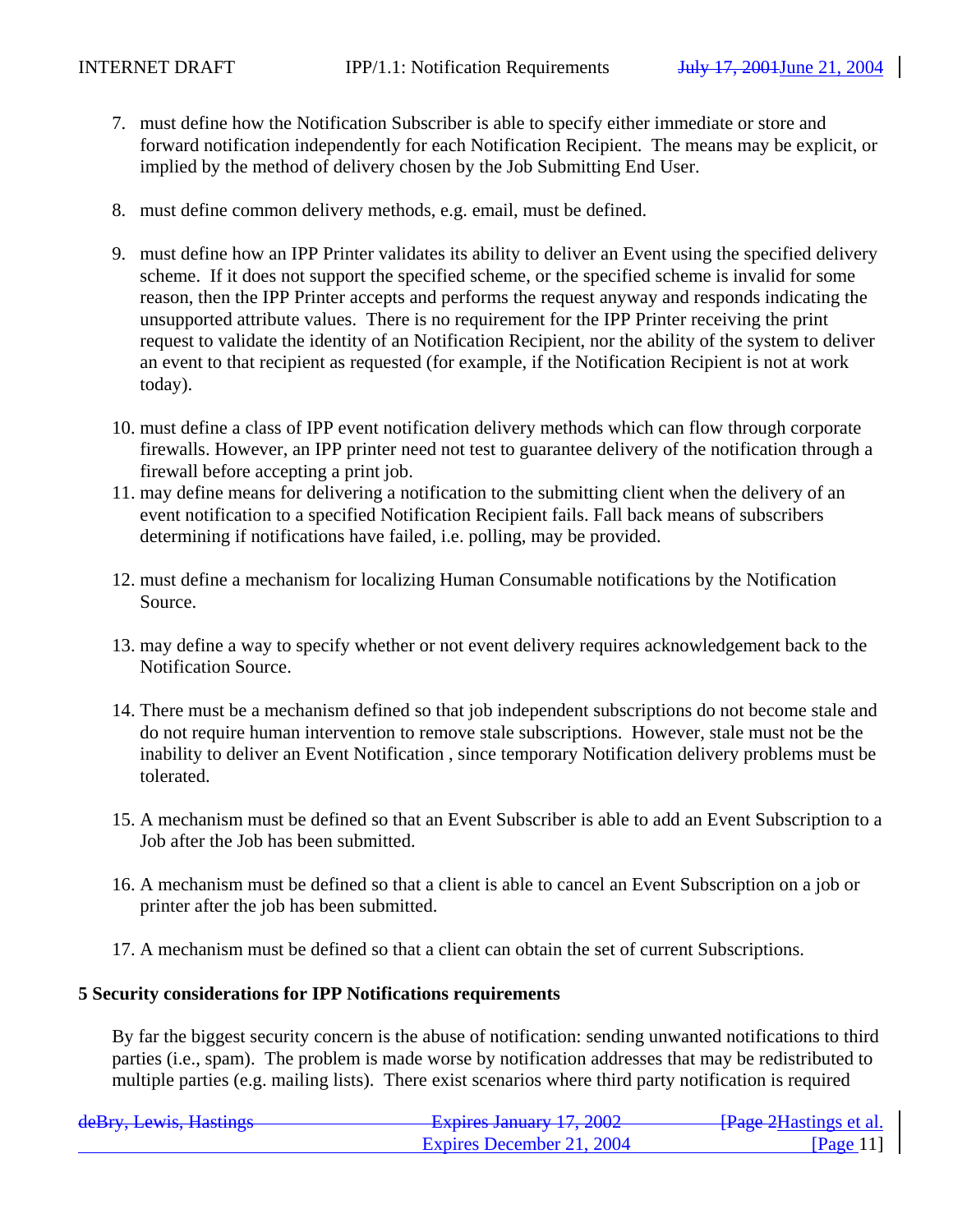- 7. must define how the Notification Subscriber is able to specify either immediate or store and forward notification independently for each Notification Recipient. The means may be explicit, or implied by the method of delivery chosen by the Job Submitting End User.
- 8. must define common delivery methods, e.g. email, must be defined.
- 9. must define how an IPP Printer validates its ability to deliver an Event using the specified delivery scheme. If it does not support the specified scheme, or the specified scheme is invalid for some reason, then the IPP Printer accepts and performs the request anyway and responds indicating the unsupported attribute values. There is no requirement for the IPP Printer receiving the print request to validate the identity of an Notification Recipient, nor the ability of the system to deliver an event to that recipient as requested (for example, if the Notification Recipient is not at work today).
- 10. must define a class of IPP event notification delivery methods which can flow through corporate firewalls. However, an IPP printer need not test to guarantee delivery of the notification through a firewall before accepting a print job.
- 11. may define means for delivering a notification to the submitting client when the delivery of an event notification to a specified Notification Recipient fails. Fall back means of subscribers determining if notifications have failed, i.e. polling, may be provided.
- 12. must define a mechanism for localizing Human Consumable notifications by the Notification Source.
- 13. may define a way to specify whether or not event delivery requires acknowledgement back to the Notification Source.
- 14. There must be a mechanism defined so that job independent subscriptions do not become stale and do not require human intervention to remove stale subscriptions. However, stale must not be the inability to deliver an Event Notification , since temporary Notification delivery problems must be tolerated.
- 15. A mechanism must be defined so that an Event Subscriber is able to add an Event Subscription to a Job after the Job has been submitted.
- 16. A mechanism must be defined so that a client is able to cancel an Event Subscription on a job or printer after the job has been submitted.
- 17. A mechanism must be defined so that a client can obtain the set of current Subscriptions.

### **5 Security considerations for IPP Notifications requirements**

By far the biggest security concern is the abuse of notification: sending unwanted notifications to third parties (i.e., spam). The problem is made worse by notification addresses that may be redistributed to multiple parties (e.g. mailing lists). There exist scenarios where third party notification is required

| deRry Lawie Haetings<br><del>uchly, Lewis, Hastings</del> | Evniras January 17 2002<br>$\frac{1}{4}$ $\frac{1}{4}$ $\frac{1}{4}$ $\frac{1}{4}$ $\frac{1}{4}$ $\frac{1}{4}$ $\frac{1}{4}$ $\frac{1}{4}$ $\frac{1}{4}$ $\frac{1}{4}$ $\frac{1}{4}$ $\frac{1}{4}$ $\frac{1}{4}$ $\frac{1}{4}$ $\frac{1}{4}$ $\frac{1}{4}$ $\frac{1}{4}$ $\frac{1}{4}$ $\frac{1}{4}$ $\frac{1}{4}$ $\frac{1}{4}$ $\frac{1}{4}$ | - <del>[Page 2</del> Hastings et al. |
|-----------------------------------------------------------|------------------------------------------------------------------------------------------------------------------------------------------------------------------------------------------------------------------------------------------------------------------------------------------------------------------------------------------------|--------------------------------------|
|                                                           | Expires December 21, 2004                                                                                                                                                                                                                                                                                                                      | $\sqrt{Page 11}$                     |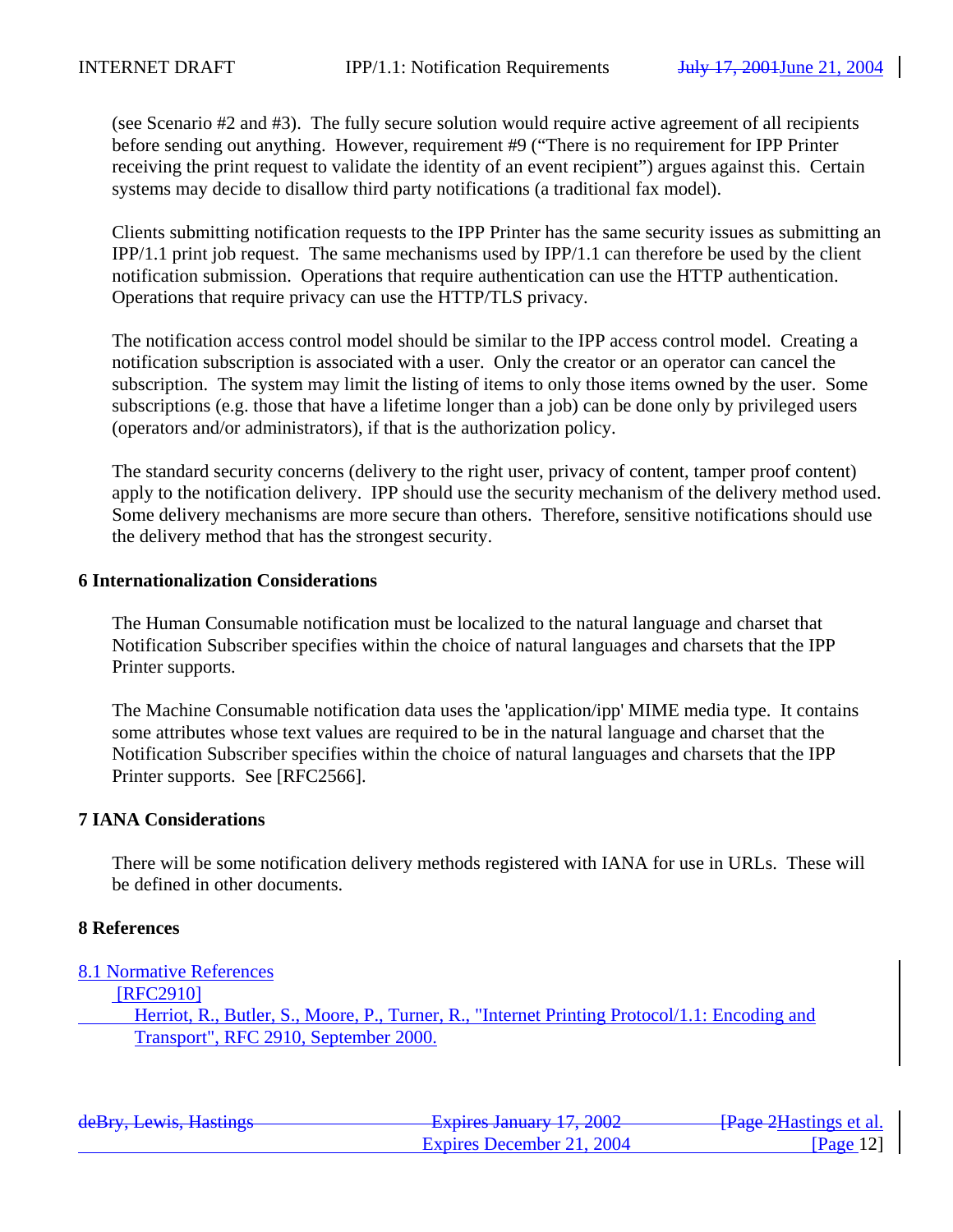(see Scenario #2 and #3). The fully secure solution would require active agreement of all recipients before sending out anything. However, requirement #9 ("There is no requirement for IPP Printer receiving the print request to validate the identity of an event recipient") argues against this. Certain systems may decide to disallow third party notifications (a traditional fax model).

Clients submitting notification requests to the IPP Printer has the same security issues as submitting an IPP/1.1 print job request. The same mechanisms used by IPP/1.1 can therefore be used by the client notification submission. Operations that require authentication can use the HTTP authentication. Operations that require privacy can use the HTTP/TLS privacy.

The notification access control model should be similar to the IPP access control model. Creating a notification subscription is associated with a user. Only the creator or an operator can cancel the subscription. The system may limit the listing of items to only those items owned by the user. Some subscriptions (e.g. those that have a lifetime longer than a job) can be done only by privileged users (operators and/or administrators), if that is the authorization policy.

The standard security concerns (delivery to the right user, privacy of content, tamper proof content) apply to the notification delivery. IPP should use the security mechanism of the delivery method used. Some delivery mechanisms are more secure than others. Therefore, sensitive notifications should use the delivery method that has the strongest security.

### **6 Internationalization Considerations**

The Human Consumable notification must be localized to the natural language and charset that Notification Subscriber specifies within the choice of natural languages and charsets that the IPP Printer supports.

The Machine Consumable notification data uses the 'application/ipp' MIME media type. It contains some attributes whose text values are required to be in the natural language and charset that the Notification Subscriber specifies within the choice of natural languages and charsets that the IPP Printer supports. See [RFC2566].

### **7 IANA Considerations**

There will be some notification delivery methods registered with IANA for use in URLs. These will be defined in other documents.

### **8 References**

8.1 Normative References

[RFC2910]

Herriot, R., Butler, S., Moore, P., Turner, R., "Internet Printing Protocol/1.1: Encoding and Transport", RFC 2910, September 2000.

| deBry, Lewis, Hastings | Evniras January 17 2002<br>$T^2$ $\frac{1}{2}$ $\frac{1}{2}$ $\frac{1}{2}$ $\frac{1}{2}$ $\frac{1}{2}$ $\frac{1}{2}$ $\frac{1}{2}$ $\frac{1}{2}$ $\frac{1}{2}$ $\frac{1}{2}$ $\frac{1}{2}$ $\frac{1}{2}$ $\frac{1}{2}$ $\frac{1}{2}$ $\frac{1}{2}$ $\frac{1}{2}$ $\frac{1}{2}$ $\frac{1}{2}$ $\frac{1}{2}$ $\frac{1}{2}$ $\frac{1}{2}$ $\frac{1$ | - <del>[Page 2</del> Hastings et al. |
|------------------------|--------------------------------------------------------------------------------------------------------------------------------------------------------------------------------------------------------------------------------------------------------------------------------------------------------------------------------------------------|--------------------------------------|
|                        | Expires December 21, 2004                                                                                                                                                                                                                                                                                                                        | $\textsf{Page}\,12\textsf{I}$        |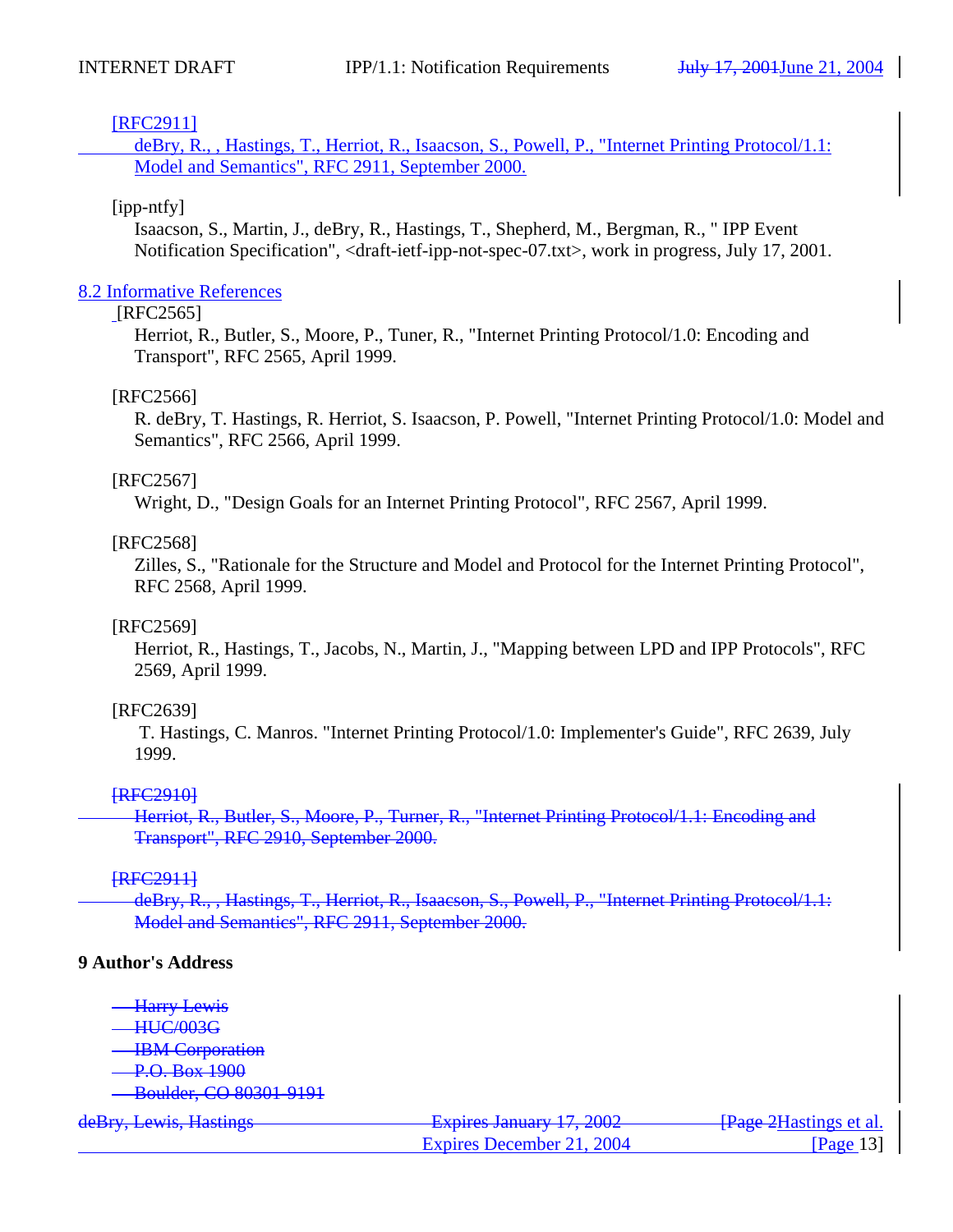### [RFC2911]

deBry, R., , Hastings, T., Herriot, R., Isaacson, S., Powell, P., "Internet Printing Protocol/1.1: Model and Semantics", RFC 2911, September 2000.

### [ipp-ntfy]

Isaacson, S., Martin, J., deBry, R., Hastings, T., Shepherd, M., Bergman, R., " IPP Event Notification Specification", <draft-ietf-ipp-not-spec-07.txt>, work in progress, July 17, 2001.

### 8.2 Informative References

### [RFC2565]

Herriot, R., Butler, S., Moore, P., Tuner, R., "Internet Printing Protocol/1.0: Encoding and Transport", RFC 2565, April 1999.

### [RFC2566]

R. deBry, T. Hastings, R. Herriot, S. Isaacson, P. Powell, "Internet Printing Protocol/1.0: Model and Semantics", RFC 2566, April 1999.

### [RFC2567]

Wright, D., "Design Goals for an Internet Printing Protocol", RFC 2567, April 1999.

# [RFC2568]

Zilles, S., "Rationale for the Structure and Model and Protocol for the Internet Printing Protocol", RFC 2568, April 1999.

### [RFC2569]

Herriot, R., Hastings, T., Jacobs, N., Martin, J., "Mapping between LPD and IPP Protocols", RFC 2569, April 1999.

# [RFC2639]

 T. Hastings, C. Manros. "Internet Printing Protocol/1.0: Implementer's Guide", RFC 2639, July 1999.

# **FRFC29101**

 Herriot, R., Butler, S., Moore, P., Turner, R., "Internet Printing Protocol/1.1: Encoding and Transport", RFC 2910, September 2000.

# **FRFC29111**

deBry, R., , Hastings, T., Herriot, R., Isaacson, S., Powell, P., "Internet Printing Protocol/1.1: Model and Semantics", RFC 2911, September 2000.

### **9 Author's Address**

- Harry Lewis
- HUC/003G
- **IBM** Corporation
- P.O. Box 1900
- Boulder, CO 80301-9191

| deBry, Lewis, Hastings | Evnires January 17, 2002<br>$T^2$ $\frac{1}{2}$ $\frac{1}{2}$ $\frac{1}{2}$ $\frac{1}{2}$ $\frac{1}{2}$ $\frac{1}{2}$ $\frac{1}{2}$ $\frac{1}{2}$ $\frac{1}{2}$ $\frac{1}{2}$ $\frac{1}{2}$ $\frac{1}{2}$ $\frac{1}{2}$ $\frac{1}{2}$ $\frac{1}{2}$ $\frac{1}{2}$ $\frac{1}{2}$ $\frac{1}{2}$ $\frac{1}{2}$ $\frac{1}{2}$ $\frac{1}{2}$ $\frac{1$ | <del>[Page 2</del> Hastings et al.] |
|------------------------|---------------------------------------------------------------------------------------------------------------------------------------------------------------------------------------------------------------------------------------------------------------------------------------------------------------------------------------------------|-------------------------------------|
|                        | Expires December 21, 2004                                                                                                                                                                                                                                                                                                                         | [Page 13]                           |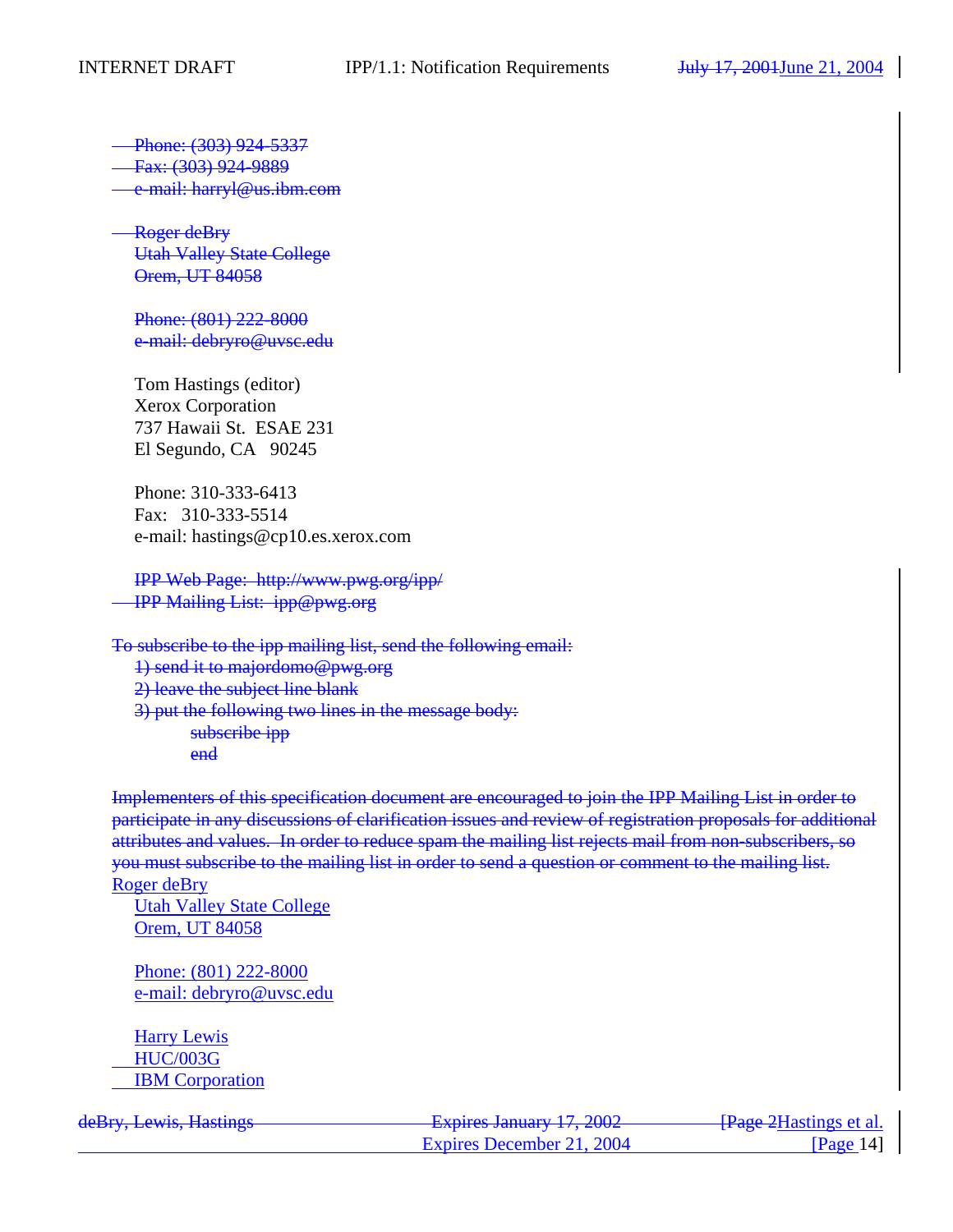Phone: (303) 924-5337

Fax: (303) 924-9889

e-mail: harryl@us.ibm.com

 Roger deBry Utah Valley State College Orem, UT 84058

Phone: (801) 222-8000 e-mail: debryro@uvsc.edu

Tom Hastings (editor) Xerox Corporation 737 Hawaii St. ESAE 231 El Segundo, CA 90245

Phone: 310-333-6413 Fax: 310-333-5514 e-mail: hastings@cp10.es.xerox.com

IPP Web Page: http://www.pwg.org/ipp/ IPP Mailing List: ipp@pwg.org

To subscribe to the ipp mailing list, send the following email: 1) send it to majordomo@pwg.org 2) leave the subject line blank 3) put the following two lines in the message body: subscribe ipp end

Implementers of this specification document are encouraged to join the IPP Mailing List in order to participate in any discussions of clarification issues and review of registration proposals for additional attributes and values. In order to reduce spam the mailing list rejects mail from non-subscribers, so you must subscribe to the mailing list in order to send a question or comment to the mailing list. Roger deBry

Utah Valley State College Orem, UT 84058

Phone: (801) 222-8000 e-mail: debryro@uvsc.edu

Harry Lewis HUC/003G IBM Corporation

| deRry Lawis Hastings<br><del>uchly, Lewis, Hastings</del> | Evnirac January 17 2002<br>$\frac{1}{4}$ $\frac{1}{4}$ $\frac{1}{4}$ $\frac{1}{4}$ $\frac{1}{4}$ $\frac{1}{4}$ $\frac{1}{4}$ $\frac{1}{4}$ $\frac{1}{4}$ $\frac{1}{4}$ $\frac{1}{4}$ $\frac{1}{4}$ $\frac{1}{4}$ $\frac{1}{4}$ $\frac{1}{4}$ $\frac{1}{4}$ $\frac{1}{4}$ $\frac{1}{4}$ $\frac{1}{4}$ $\frac{1}{4}$ $\frac{1}{4}$ $\frac{1}{4}$ | <del>[Page 2</del> Hastings et al.] |
|-----------------------------------------------------------|------------------------------------------------------------------------------------------------------------------------------------------------------------------------------------------------------------------------------------------------------------------------------------------------------------------------------------------------|-------------------------------------|
|                                                           | Expires December 21, 2004                                                                                                                                                                                                                                                                                                                      | $Page$ 141                          |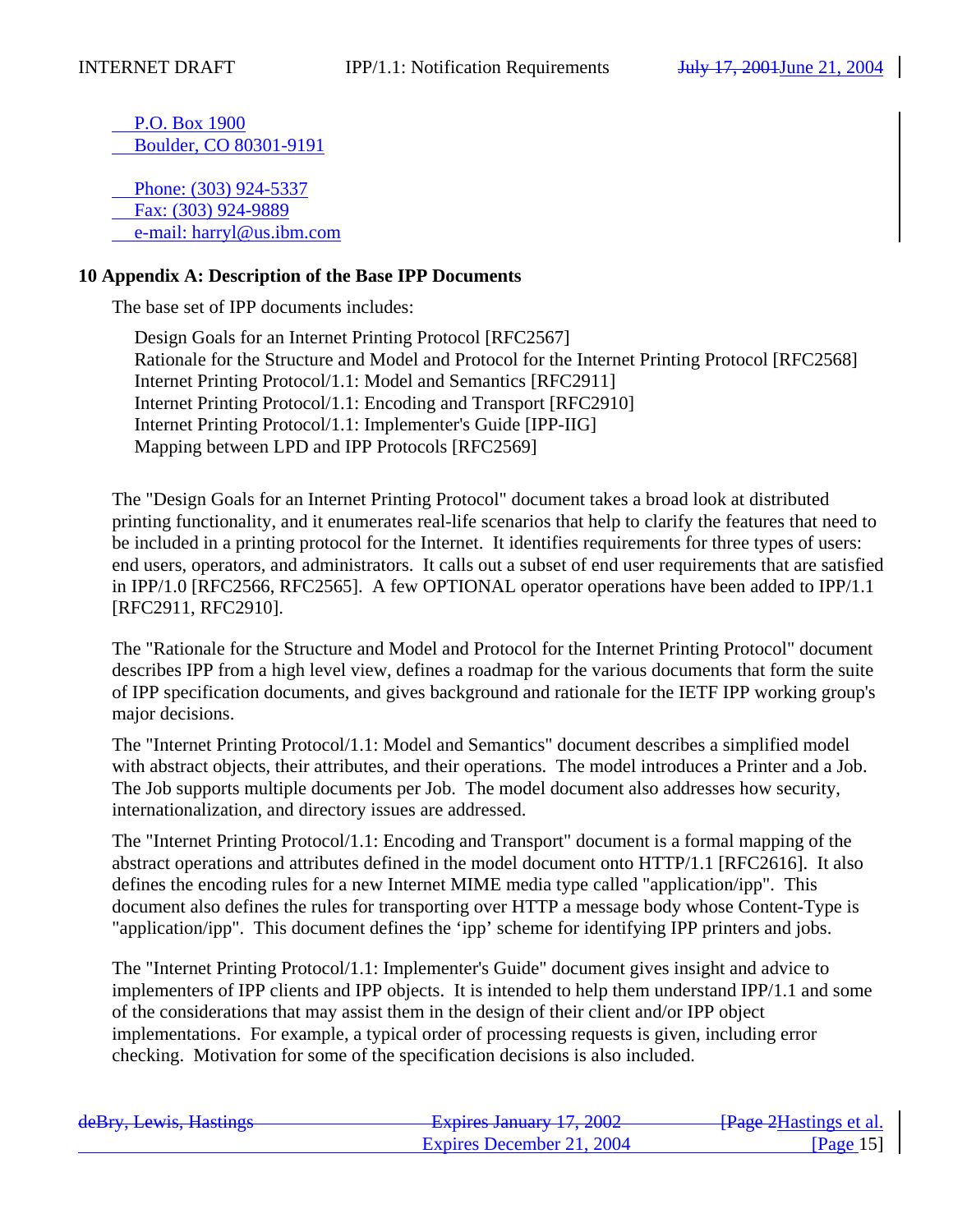P.O. Box 1900 Boulder, CO 80301-9191

 Phone: (303) 924-5337 Fax: (303) 924-9889 e-mail: harryl@us.ibm.com

### **10 Appendix A: Description of the Base IPP Documents**

The base set of IPP documents includes:

Design Goals for an Internet Printing Protocol [RFC2567] Rationale for the Structure and Model and Protocol for the Internet Printing Protocol [RFC2568] Internet Printing Protocol/1.1: Model and Semantics [RFC2911] Internet Printing Protocol/1.1: Encoding and Transport [RFC2910] Internet Printing Protocol/1.1: Implementer's Guide [IPP-IIG] Mapping between LPD and IPP Protocols [RFC2569]

The "Design Goals for an Internet Printing Protocol" document takes a broad look at distributed printing functionality, and it enumerates real-life scenarios that help to clarify the features that need to be included in a printing protocol for the Internet. It identifies requirements for three types of users: end users, operators, and administrators. It calls out a subset of end user requirements that are satisfied in IPP/1.0 [RFC2566, RFC2565]. A few OPTIONAL operator operations have been added to IPP/1.1 [RFC2911, RFC2910].

The "Rationale for the Structure and Model and Protocol for the Internet Printing Protocol" document describes IPP from a high level view, defines a roadmap for the various documents that form the suite of IPP specification documents, and gives background and rationale for the IETF IPP working group's major decisions.

The "Internet Printing Protocol/1.1: Model and Semantics" document describes a simplified model with abstract objects, their attributes, and their operations. The model introduces a Printer and a Job. The Job supports multiple documents per Job. The model document also addresses how security, internationalization, and directory issues are addressed.

The "Internet Printing Protocol/1.1: Encoding and Transport" document is a formal mapping of the abstract operations and attributes defined in the model document onto HTTP/1.1 [RFC2616]. It also defines the encoding rules for a new Internet MIME media type called "application/ipp". This document also defines the rules for transporting over HTTP a message body whose Content-Type is "application/ipp". This document defines the 'ipp' scheme for identifying IPP printers and jobs.

The "Internet Printing Protocol/1.1: Implementer's Guide" document gives insight and advice to implementers of IPP clients and IPP objects. It is intended to help them understand IPP/1.1 and some of the considerations that may assist them in the design of their client and/or IPP object implementations. For example, a typical order of processing requests is given, including error checking. Motivation for some of the specification decisions is also included.

| deRry Lawis Hastings<br><del>uchly, Lewis, Hastings</del> | Evniras January 17 2002<br><b>присудание у 17, 4004</b> | - <del>[Page 2</del> Hastings et al.    |
|-----------------------------------------------------------|---------------------------------------------------------|-----------------------------------------|
|                                                           | Expires December 21, 2004                               | $\lceil \text{Page} \ 15 \rceil \rceil$ |